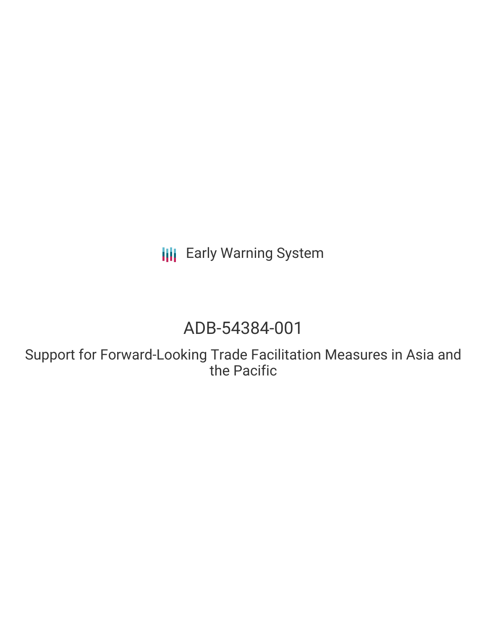**III** Early Warning System

# ADB-54384-001

Support for Forward-Looking Trade Facilitation Measures in Asia and the Pacific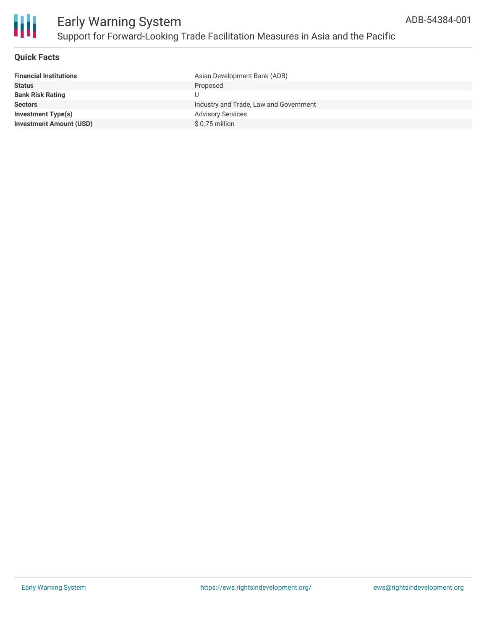

### **Quick Facts**

| <b>Financial Institutions</b>  | Asian Development Bank (ADB)           |
|--------------------------------|----------------------------------------|
| <b>Status</b>                  | Proposed                               |
| <b>Bank Risk Rating</b>        |                                        |
| <b>Sectors</b>                 | Industry and Trade, Law and Government |
| <b>Investment Type(s)</b>      | <b>Advisory Services</b>               |
| <b>Investment Amount (USD)</b> | $$0.75$ million                        |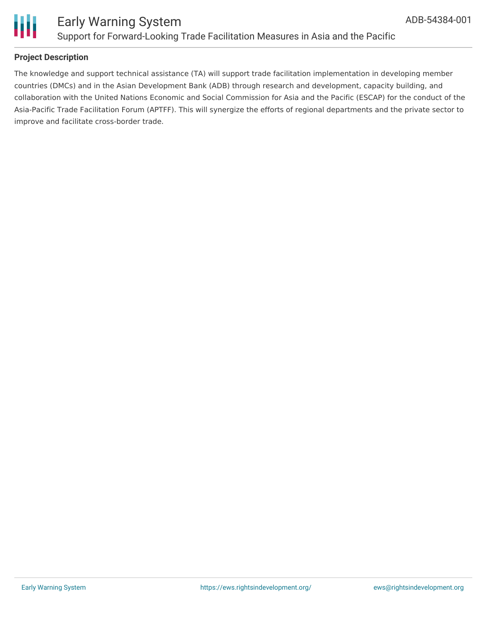



## **Project Description**

The knowledge and support technical assistance (TA) will support trade facilitation implementation in developing member countries (DMCs) and in the Asian Development Bank (ADB) through research and development, capacity building, and collaboration with the United Nations Economic and Social Commission for Asia and the Pacific (ESCAP) for the conduct of the Asia-Pacific Trade Facilitation Forum (APTFF). This will synergize the efforts of regional departments and the private sector to improve and facilitate cross-border trade.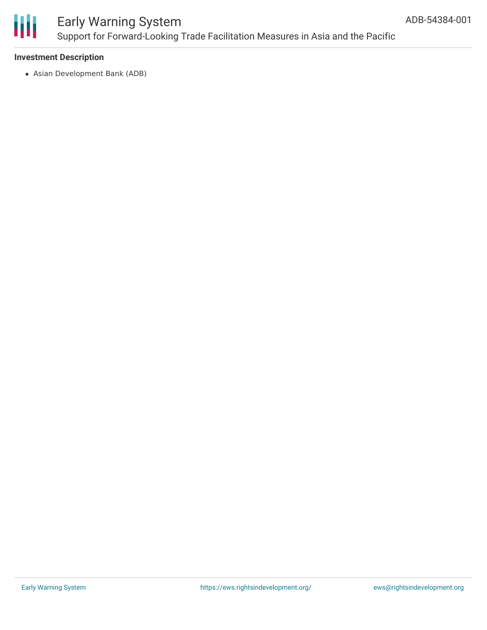

# Early Warning System Support for Forward-Looking Trade Facilitation Measures in Asia and the Pacific

### **Investment Description**

Asian Development Bank (ADB)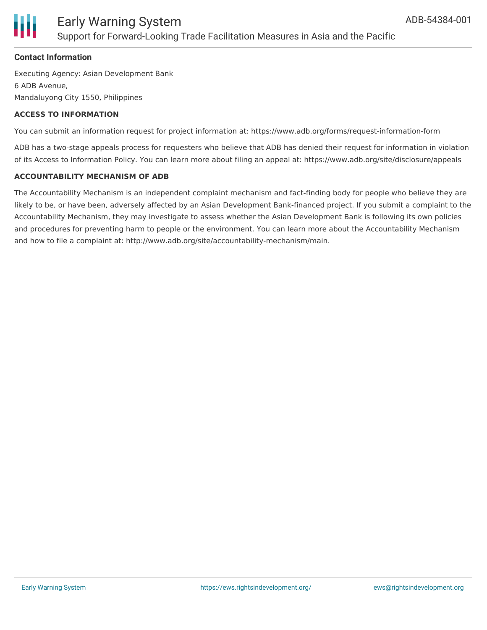

# **Contact Information**

Executing Agency: Asian Development Bank 6 ADB Avenue, Mandaluyong City 1550, Philippines

## **ACCESS TO INFORMATION**

You can submit an information request for project information at: https://www.adb.org/forms/request-information-form

ADB has a two-stage appeals process for requesters who believe that ADB has denied their request for information in violation of its Access to Information Policy. You can learn more about filing an appeal at: https://www.adb.org/site/disclosure/appeals

# **ACCOUNTABILITY MECHANISM OF ADB**

The Accountability Mechanism is an independent complaint mechanism and fact-finding body for people who believe they are likely to be, or have been, adversely affected by an Asian Development Bank-financed project. If you submit a complaint to the Accountability Mechanism, they may investigate to assess whether the Asian Development Bank is following its own policies and procedures for preventing harm to people or the environment. You can learn more about the Accountability Mechanism and how to file a complaint at: http://www.adb.org/site/accountability-mechanism/main.